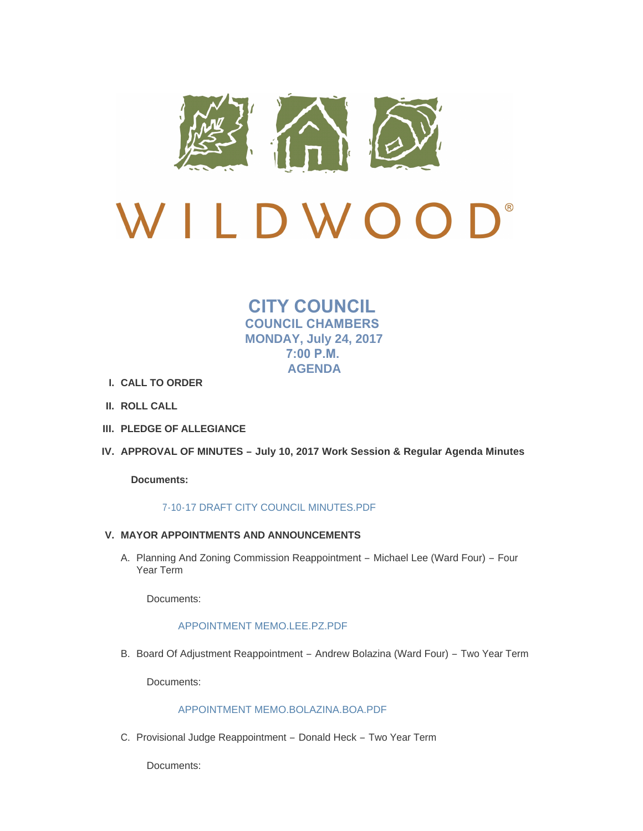

# $\bigcap$ LDWOO

**CITY COUNCIL COUNCIL CHAMBERS MONDAY, July 24, 2017 7:00 P.M. AGENDA**

- **CALL TO ORDER I.**
- **ROLL CALL II.**
- **PLEDGE OF ALLEGIANCE III.**
- **APPROVAL OF MINUTES – July 10, 2017 Work Session & Regular Agenda Minutes IV.**

**Documents:**

## [7-10-17 DRAFT CITY COUNCIL MINUTES.PDF](http://cityofwildwood.com/AgendaCenter/ViewFile/Item/11576?fileID=16776)

- **MAYOR APPOINTMENTS AND ANNOUNCEMENTS V.**
	- A. Planning And Zoning Commission Reappointment Michael Lee (Ward Four) Four Year Term

Documents:

## [APPOINTMENT MEMO.LEE.PZ.PDF](http://cityofwildwood.com/AgendaCenter/ViewFile/Item/11578?fileID=16898)

B. Board Of Adjustment Reappointment - Andrew Bolazina (Ward Four) - Two Year Term

Documents:

# [APPOINTMENT MEMO.BOLAZINA.BOA.PDF](http://cityofwildwood.com/AgendaCenter/ViewFile/Item/11579?fileID=16896)

C. Provisional Judge Reappointment - Donald Heck - Two Year Term

Documents: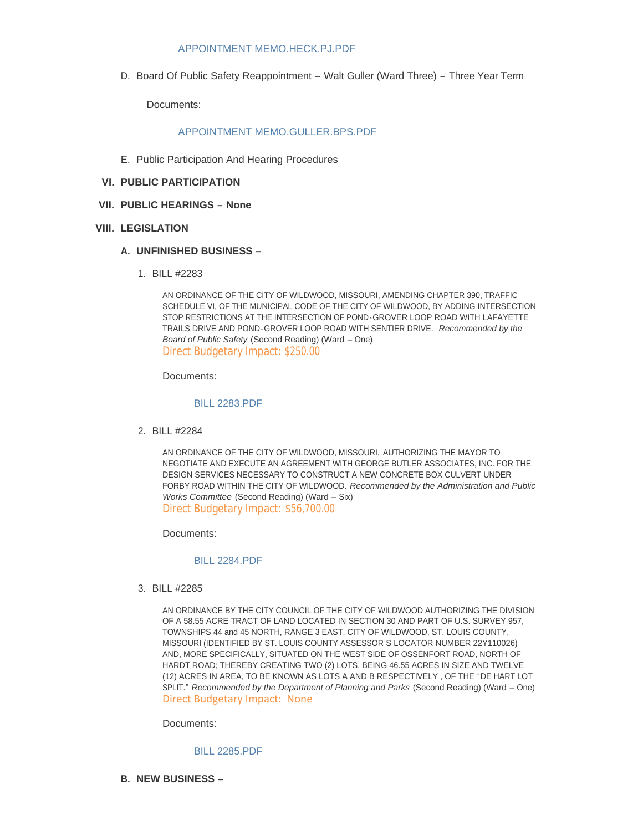## [APPOINTMENT MEMO.HECK.PJ.PDF](http://cityofwildwood.com/AgendaCenter/ViewFile/Item/11581?fileID=16899)

D. Board Of Public Safety Reappointment - Walt Guller (Ward Three) - Three Year Term

Documents:

## APPOINTMENT MEMO GULLER BPS PDF

- E. Public Participation And Hearing Procedures
- **PUBLIC PARTICIPATION VI.**
- **PUBLIC HEARINGS – None VII.**

#### **LEGISLATION VIII.**

## **UNFINISHED BUSINESS – A.**

BILL #2283 1.

AN ORDINANCE OF THE CITY OF WILDWOOD, MISSOURI, AMENDING CHAPTER 390, TRAFFIC SCHEDULE VI, OF THE MUNICIPAL CODE OF THE CITY OF WILDWOOD, BY ADDING INTERSECTION STOP RESTRICTIONS AT THE INTERSECTION OF POND-GROVER LOOP ROAD WITH LAFAYETTE TRAILS DRIVE AND POND-GROVER LOOP ROAD WITH SENTIER DRIVE. *Recommended by the Board of Public Safety* (Second Reading) (Ward – One) Direct Budgetary Impact: \$250.00

Documents:

#### [BILL 2283.PDF](http://cityofwildwood.com/AgendaCenter/ViewFile/Item/11587?fileID=16777)

BILL #2284 2.

AN ORDINANCE OF THE CITY OF WILDWOOD, MISSOURI, AUTHORIZING THE MAYOR TO NEGOTIATE AND EXECUTE AN AGREEMENT WITH GEORGE BUTLER ASSOCIATES, INC. FOR THE DESIGN SERVICES NECESSARY TO CONSTRUCT A NEW CONCRETE BOX CULVERT UNDER FORBY ROAD WITHIN THE CITY OF WILDWOOD. *Recommended by the Administration and Public Works Committee* (Second Reading) (Ward – Six) Direct Budgetary Impact: \$56,700.00

Documents:

#### [BILL 2284.PDF](http://cityofwildwood.com/AgendaCenter/ViewFile/Item/11588?fileID=16778)

BILL #2285 3.

AN ORDINANCE BY THE CITY COUNCIL OF THE CITY OF WILDWOOD AUTHORIZING THE DIVISION OF A 58.55 ACRE TRACT OF LAND LOCATED IN SECTION 30 AND PART OF U.S. SURVEY 957, TOWNSHIPS 44 and 45 NORTH, RANGE 3 EAST, CITY OF WILDWOOD, ST. LOUIS COUNTY, MISSOURI (IDENTIFIED BY ST. LOUIS COUNTY ASSESSOR'S LOCATOR NUMBER 22Y110026) AND, MORE SPECIFICALLY, SITUATED ON THE WEST SIDE OF OSSENFORT ROAD, NORTH OF HARDT ROAD; THEREBY CREATING TWO (2) LOTS, BEING 46.55 ACRES IN SIZE AND TWELVE (12) ACRES IN AREA, TO BE KNOWN AS LOTS A AND B RESPECTIVELY , OF THE "DE HART LOT SPLIT." *Recommended by the Department of Planning and Parks* (Second Reading) (Ward – One) Direct Budgetary Impact: None

Documents:

[BILL 2285.PDF](http://cityofwildwood.com/AgendaCenter/ViewFile/Item/11589?fileID=16779)

**NEW BUSINESS – B.**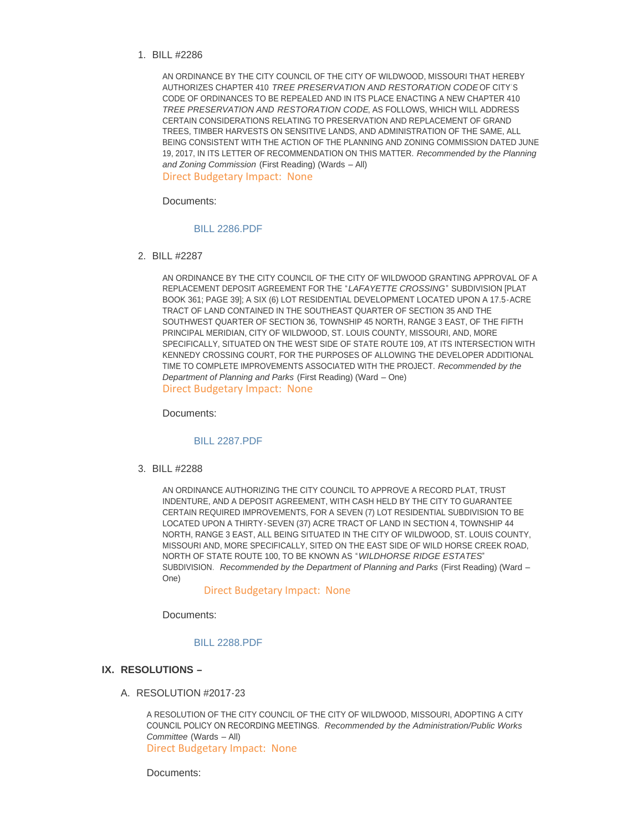#### BILL #2286 1.

AN ORDINANCE BY THE CITY COUNCIL OF THE CITY OF WILDWOOD, MISSOURI THAT HEREBY AUTHORIZES CHAPTER 410 *TREE PRESERVATION AND RESTORATION CODE* OF CITY'S CODE OF ORDINANCES TO BE REPEALED AND IN ITS PLACE ENACTING A NEW CHAPTER 410 *TREE PRESERVATION AND RESTORATION CODE*, AS FOLLOWS, WHICH WILL ADDRESS CERTAIN CONSIDERATIONS RELATING TO PRESERVATION AND REPLACEMENT OF GRAND TREES, TIMBER HARVESTS ON SENSITIVE LANDS, AND ADMINISTRATION OF THE SAME, ALL BEING CONSISTENT WITH THE ACTION OF THE PLANNING AND ZONING COMMISSION DATED JUNE 19, 2017, IN ITS LETTER OF RECOMMENDATION ON THIS MATTER. *Recommended by the Planning and Zoning Commission* (First Reading) (Wards – All) Direct Budgetary Impact: None

Documents:

#### [BILL 2286.PDF](http://cityofwildwood.com/AgendaCenter/ViewFile/Item/11591?fileID=16780)

BILL #2287 2.

AN ORDINANCE BY THE CITY COUNCIL OF THE CITY OF WILDWOOD GRANTING APPROVAL OF A REPLACEMENT DEPOSIT AGREEMENT FOR THE "*LAFAYETTE CROSSING*" SUBDIVISION [PLAT BOOK 361; PAGE 39]; A SIX (6) LOT RESIDENTIAL DEVELOPMENT LOCATED UPON A 17.5-ACRE TRACT OF LAND CONTAINED IN THE SOUTHEAST QUARTER OF SECTION 35 AND THE SOUTHWEST QUARTER OF SECTION 36, TOWNSHIP 45 NORTH, RANGE 3 EAST, OF THE FIFTH PRINCIPAL MERIDIAN, CITY OF WILDWOOD, ST. LOUIS COUNTY, MISSOURI, AND, MORE SPECIFICALLY, SITUATED ON THE WEST SIDE OF STATE ROUTE 109, AT ITS INTERSECTION WITH KENNEDY CROSSING COURT, FOR THE PURPOSES OF ALLOWING THE DEVELOPER ADDITIONAL TIME TO COMPLETE IMPROVEMENTS ASSOCIATED WITH THE PROJECT. *Recommended by the Department of Planning and Parks* (First Reading) (Ward – One) Direct Budgetary Impact: None

Documents:

#### [BILL 2287.PDF](http://cityofwildwood.com/AgendaCenter/ViewFile/Item/11592?fileID=16781)

BILL #2288 3.

AN ORDINANCE AUTHORIZING THE CITY COUNCIL TO APPROVE A RECORD PLAT, TRUST INDENTURE, AND A DEPOSIT AGREEMENT, WITH CASH HELD BY THE CITY TO GUARANTEE CERTAIN REQUIRED IMPROVEMENTS, FOR A SEVEN (7) LOT RESIDENTIAL SUBDIVISION TO BE LOCATED UPON A THIRTY-SEVEN (37) ACRE TRACT OF LAND IN SECTION 4, TOWNSHIP 44 NORTH, RANGE 3 EAST, ALL BEING SITUATED IN THE CITY OF WILDWOOD, ST. LOUIS COUNTY, MISSOURI AND, MORE SPECIFICALLY, SITED ON THE EAST SIDE OF WILD HORSE CREEK ROAD, NORTH OF STATE ROUTE 100, TO BE KNOWN AS "*WILDHORSE RIDGE ESTATES*" SUBDIVISION*. Recommended by the Department of Planning and Parks* (First Reading) (Ward – One)

#### Direct Budgetary Impact: None

Documents:

## [BILL 2288.PDF](http://cityofwildwood.com/AgendaCenter/ViewFile/Item/11593?fileID=16900)

## **RESOLUTIONS – IX.**

A. RESOLUTION #2017-23

A RESOLUTION OF THE CITY COUNCIL OF THE CITY OF WILDWOOD, MISSOURI, ADOPTING A CITY COUNCIL POLICY ON RECORDING MEETINGS. *Recommended by the Administration/Public Works Committee* (Wards – All) Direct Budgetary Impact: None

Documents: